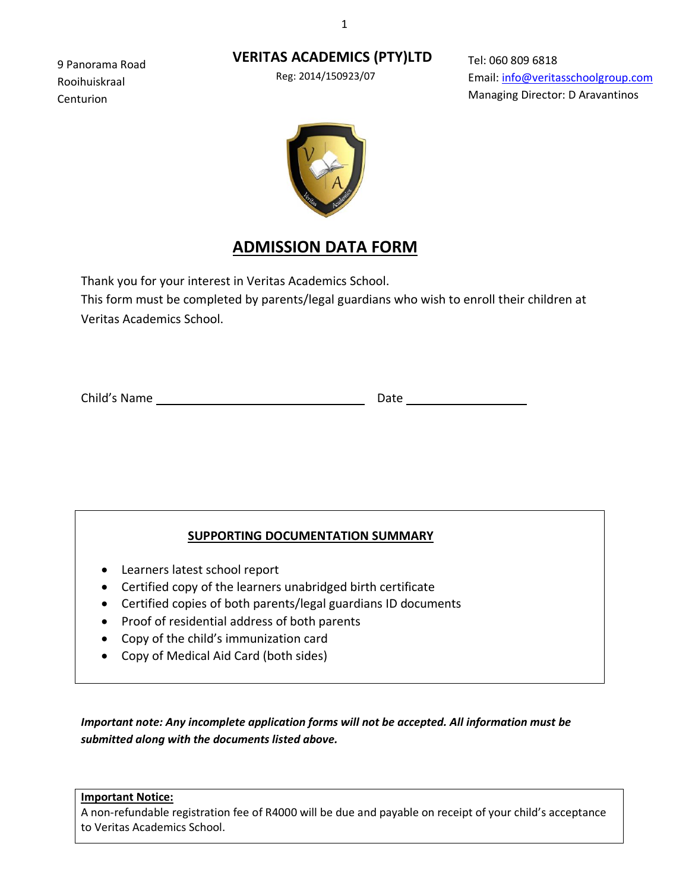## **VERITAS ACADEMICS (PTY)LTD**

Reg: 2014/150923/07

Tel: 060 809 6818 Email: [info@veritasschoolgroup.com](mailto:info@veritasschoolgroup.com)  Managing Director: D Aravantinos





# **ADMISSION DATA FORM**

Thank you for your interest in Veritas Academics School.

This form must be completed by parents/legal guardians who wish to enroll their children at Veritas Academics School.

Child's Name Date

9 Panorama Road Rooihuiskraal Centurion

## **SUPPORTING DOCUMENTATION SUMMARY**

- Learners latest school report
- Certified copy of the learners unabridged birth certificate
- Certified copies of both parents/legal guardians ID documents
- Proof of residential address of both parents
- Copy of the child's immunization card
- Copy of Medical Aid Card (both sides)

*Important note: Any incomplete application forms will not be accepted. All information must be submitted along with the documents listed above.*

**Important Notice:**

A non-refundable registration fee of R4000 will be due and payable on receipt of your child's acceptance to Veritas Academics School.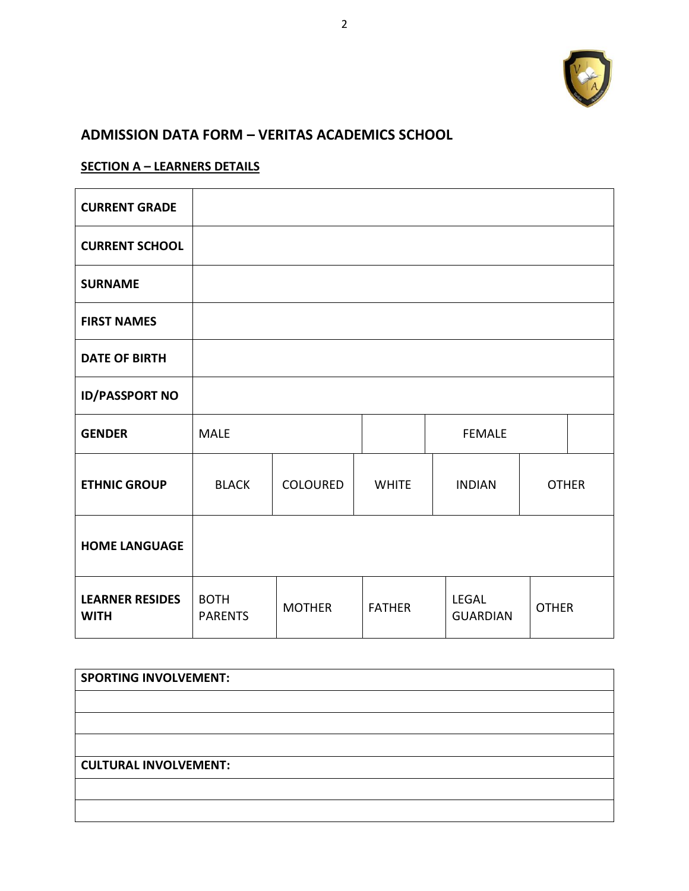

## **ADMISSION DATA FORM – VERITAS ACADEMICS SCHOOL**

## **SECTION A – LEARNERS DETAILS**

| <b>CURRENT GRADE</b>                  |                               |               |               |                                 |              |  |
|---------------------------------------|-------------------------------|---------------|---------------|---------------------------------|--------------|--|
| <b>CURRENT SCHOOL</b>                 |                               |               |               |                                 |              |  |
| <b>SURNAME</b>                        |                               |               |               |                                 |              |  |
| <b>FIRST NAMES</b>                    |                               |               |               |                                 |              |  |
| <b>DATE OF BIRTH</b>                  |                               |               |               |                                 |              |  |
| <b>ID/PASSPORT NO</b>                 |                               |               |               |                                 |              |  |
| <b>GENDER</b>                         | <b>MALE</b>                   |               |               | <b>FEMALE</b>                   |              |  |
| <b>ETHNIC GROUP</b>                   | <b>BLACK</b>                  | COLOURED      | <b>WHITE</b>  | <b>INDIAN</b>                   | <b>OTHER</b> |  |
| <b>HOME LANGUAGE</b>                  |                               |               |               |                                 |              |  |
| <b>LEARNER RESIDES</b><br><b>WITH</b> | <b>BOTH</b><br><b>PARENTS</b> | <b>MOTHER</b> | <b>FATHER</b> | <b>LEGAL</b><br><b>GUARDIAN</b> | <b>OTHER</b> |  |

| <b>SPORTING INVOLVEMENT:</b> |
|------------------------------|
|                              |
|                              |
|                              |
| <b>CULTURAL INVOLVEMENT:</b> |
|                              |
|                              |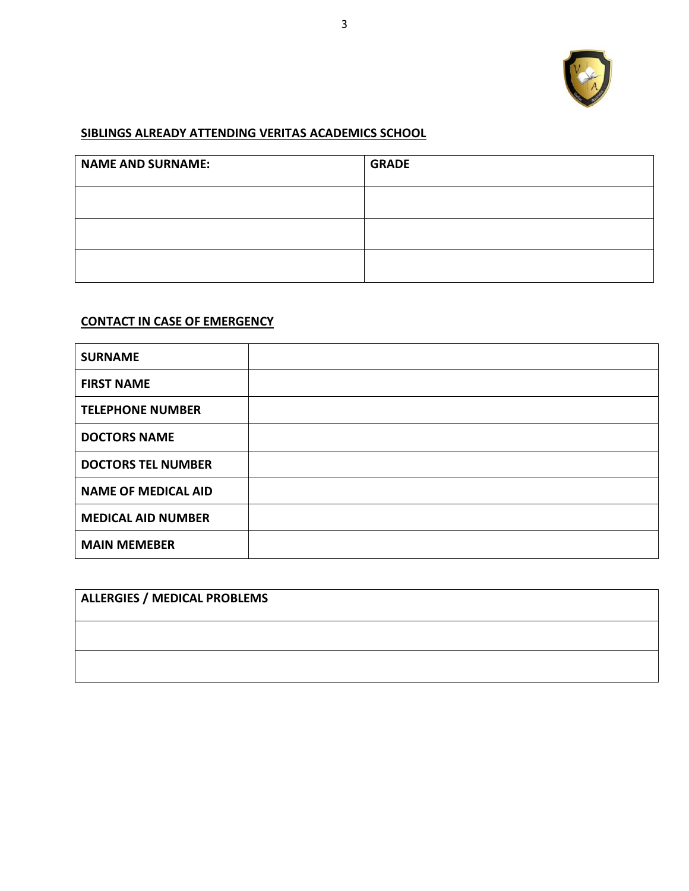

## **SIBLINGS ALREADY ATTENDING VERITAS ACADEMICS SCHOOL**

| <b>NAME AND SURNAME:</b> | <b>GRADE</b> |
|--------------------------|--------------|
|                          |              |
|                          |              |
|                          |              |

## **CONTACT IN CASE OF EMERGENCY**

| <b>SURNAME</b>             |  |
|----------------------------|--|
| <b>FIRST NAME</b>          |  |
| <b>TELEPHONE NUMBER</b>    |  |
| <b>DOCTORS NAME</b>        |  |
| <b>DOCTORS TEL NUMBER</b>  |  |
| <b>NAME OF MEDICAL AID</b> |  |
| <b>MEDICAL AID NUMBER</b>  |  |
| <b>MAIN MEMEBER</b>        |  |

| <b>ALLERGIES / MEDICAL PROBLEMS</b> |  |  |  |  |
|-------------------------------------|--|--|--|--|
|                                     |  |  |  |  |
|                                     |  |  |  |  |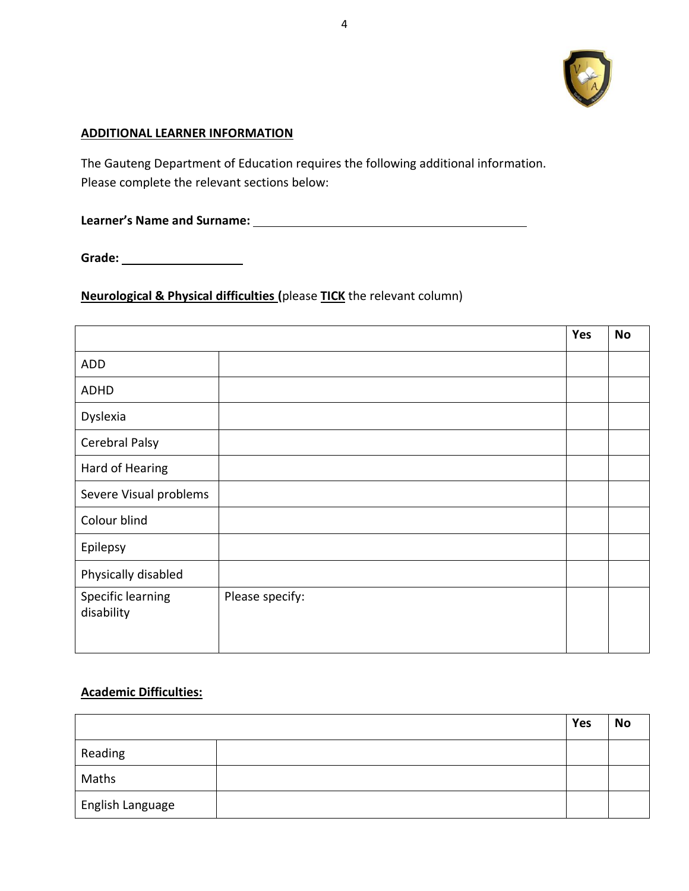

#### **ADDITIONAL LEARNER INFORMATION**

The Gauteng Department of Education requires the following additional information. Please complete the relevant sections below:

**Learner's Name and Surname:** 

**Grade:** 

## **Neurological & Physical difficulties (**please **TICK** the relevant column)

|                                 |                 | Yes | <b>No</b> |
|---------------------------------|-----------------|-----|-----------|
| ADD                             |                 |     |           |
| <b>ADHD</b>                     |                 |     |           |
| Dyslexia                        |                 |     |           |
| Cerebral Palsy                  |                 |     |           |
| Hard of Hearing                 |                 |     |           |
| Severe Visual problems          |                 |     |           |
| Colour blind                    |                 |     |           |
| Epilepsy                        |                 |     |           |
| Physically disabled             |                 |     |           |
| Specific learning<br>disability | Please specify: |     |           |

### **Academic Difficulties:**

|                               | Yes | <b>No</b> |
|-------------------------------|-----|-----------|
| Reading                       |     |           |
| Maths                         |     |           |
| <sub>I</sub> English Language |     |           |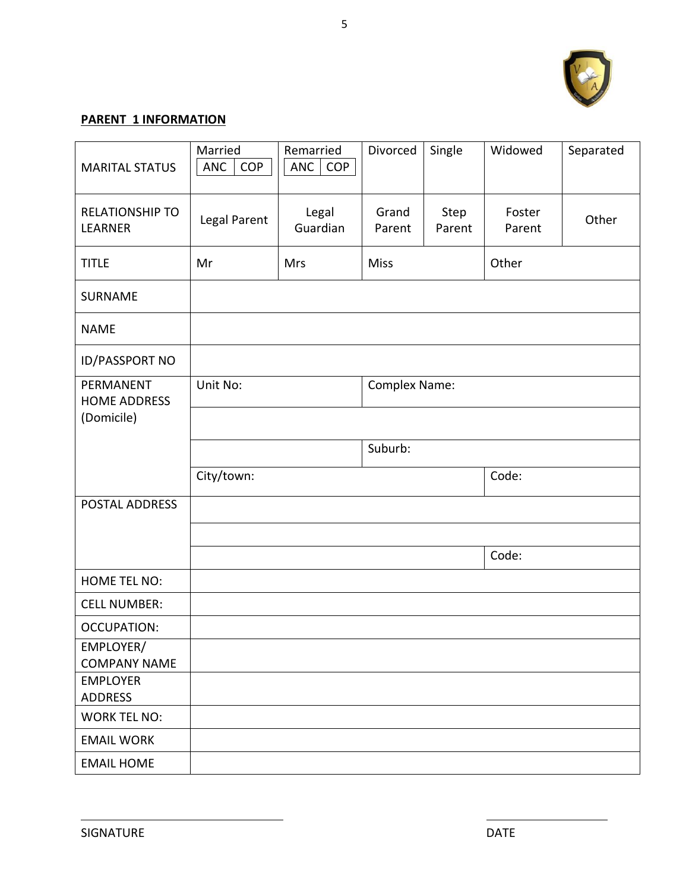

## **PARENT 1 INFORMATION**

| <b>MARITAL STATUS</b>                          | Married<br><b>ANC</b><br><b>COP</b> | Remarried<br>ANC<br><b>COP</b> | Divorced             | Single         | Widowed          | Separated |
|------------------------------------------------|-------------------------------------|--------------------------------|----------------------|----------------|------------------|-----------|
| <b>RELATIONSHIP TO</b><br>LEARNER              | Legal Parent                        | Legal<br>Guardian              | Grand<br>Parent      | Step<br>Parent | Foster<br>Parent | Other     |
| <b>TITLE</b>                                   | Mr                                  | Mrs                            | <b>Miss</b>          |                | Other            |           |
| <b>SURNAME</b>                                 |                                     |                                |                      |                |                  |           |
| <b>NAME</b>                                    |                                     |                                |                      |                |                  |           |
| <b>ID/PASSPORT NO</b>                          |                                     |                                |                      |                |                  |           |
| PERMANENT<br><b>HOME ADDRESS</b><br>(Domicile) | Unit No:                            |                                | <b>Complex Name:</b> |                |                  |           |
|                                                |                                     |                                |                      |                |                  |           |
|                                                |                                     |                                | Suburb:              |                |                  |           |
|                                                | City/town:                          |                                |                      |                | Code:            |           |
| POSTAL ADDRESS                                 |                                     |                                |                      |                |                  |           |
|                                                |                                     |                                |                      |                |                  |           |
|                                                |                                     |                                |                      |                | Code:            |           |
| <b>HOME TEL NO:</b>                            |                                     |                                |                      |                |                  |           |
| <b>CELL NUMBER:</b>                            |                                     |                                |                      |                |                  |           |
| <b>OCCUPATION:</b>                             |                                     |                                |                      |                |                  |           |
| EMPLOYER/<br><b>COMPANY NAME</b>               |                                     |                                |                      |                |                  |           |
| <b>EMPLOYER</b><br><b>ADDRESS</b>              |                                     |                                |                      |                |                  |           |
| <b>WORK TEL NO:</b>                            |                                     |                                |                      |                |                  |           |
| <b>EMAIL WORK</b>                              |                                     |                                |                      |                |                  |           |
| <b>EMAIL HOME</b>                              |                                     |                                |                      |                |                  |           |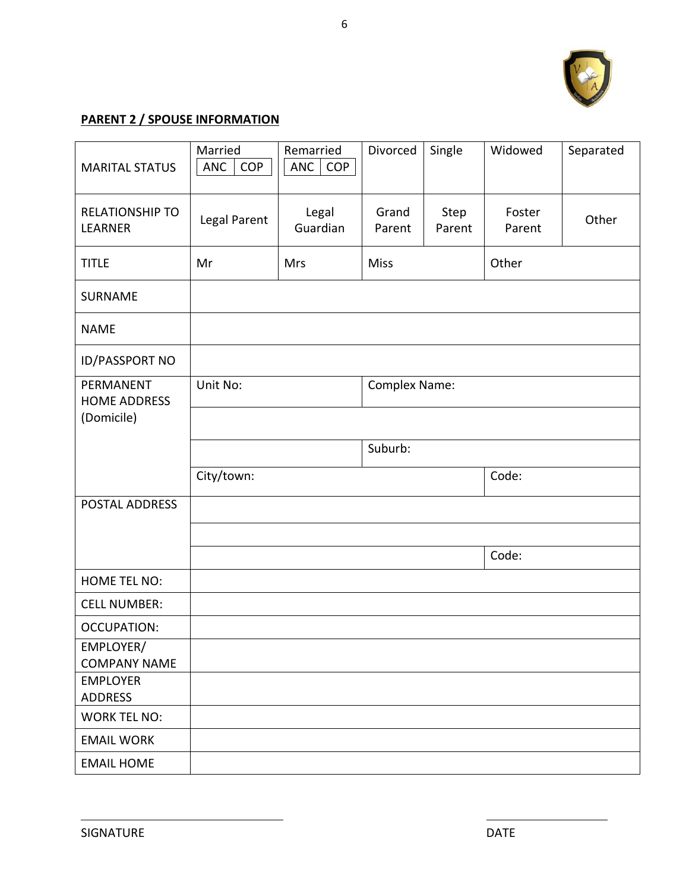

## **PARENT 2 / SPOUSE INFORMATION**

| <b>MARITAL STATUS</b>                          | Married<br><b>ANC</b><br>COP | Remarried<br>ANC<br><b>COP</b> | Divorced             | Single         | Widowed          | Separated |
|------------------------------------------------|------------------------------|--------------------------------|----------------------|----------------|------------------|-----------|
| <b>RELATIONSHIP TO</b><br><b>LEARNER</b>       | Legal Parent                 | Legal<br>Guardian              | Grand<br>Parent      | Step<br>Parent | Foster<br>Parent | Other     |
| <b>TITLE</b>                                   | Mr                           | Mrs                            | <b>Miss</b>          |                | Other            |           |
| SURNAME                                        |                              |                                |                      |                |                  |           |
| <b>NAME</b>                                    |                              |                                |                      |                |                  |           |
| <b>ID/PASSPORT NO</b>                          |                              |                                |                      |                |                  |           |
| PERMANENT<br><b>HOME ADDRESS</b><br>(Domicile) | Unit No:                     |                                | <b>Complex Name:</b> |                |                  |           |
|                                                |                              |                                | Suburb:              |                |                  |           |
|                                                |                              |                                |                      |                |                  |           |
|                                                | City/town:                   |                                |                      |                | Code:            |           |
| POSTAL ADDRESS                                 |                              |                                |                      |                |                  |           |
|                                                |                              |                                |                      |                |                  |           |
|                                                |                              |                                |                      |                | Code:            |           |
| <b>HOME TEL NO:</b>                            |                              |                                |                      |                |                  |           |
| <b>CELL NUMBER:</b>                            |                              |                                |                      |                |                  |           |
| <b>OCCUPATION:</b>                             |                              |                                |                      |                |                  |           |
| EMPLOYER/<br><b>COMPANY NAME</b>               |                              |                                |                      |                |                  |           |
| <b>EMPLOYER</b><br><b>ADDRESS</b>              |                              |                                |                      |                |                  |           |
| <b>WORK TEL NO:</b>                            |                              |                                |                      |                |                  |           |
| <b>EMAIL WORK</b>                              |                              |                                |                      |                |                  |           |
| <b>EMAIL HOME</b>                              |                              |                                |                      |                |                  |           |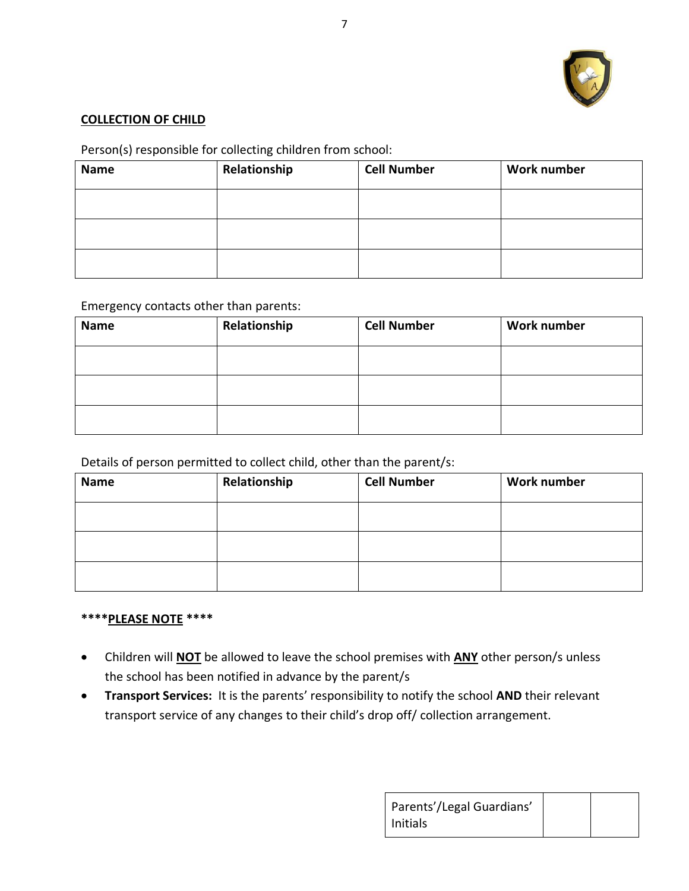

### **COLLECTION OF CHILD**

## Person(s) responsible for collecting children from school:

| <b>Name</b> | Relationship | <b>Cell Number</b> | <b>Work number</b> |
|-------------|--------------|--------------------|--------------------|
|             |              |                    |                    |
|             |              |                    |                    |
|             |              |                    |                    |

#### Emergency contacts other than parents:

| <b>Name</b> | Relationship | <b>Cell Number</b> | <b>Work number</b> |
|-------------|--------------|--------------------|--------------------|
|             |              |                    |                    |
|             |              |                    |                    |
|             |              |                    |                    |

### Details of person permitted to collect child, other than the parent/s:

| <b>Name</b> | Relationship | <b>Cell Number</b> | Work number |
|-------------|--------------|--------------------|-------------|
|             |              |                    |             |
|             |              |                    |             |
|             |              |                    |             |

#### **\*\*\*\*PLEASE NOTE \*\*\*\***

- Children will **NOT** be allowed to leave the school premises with **ANY** other person/s unless the school has been notified in advance by the parent/s
- **Transport Services:** It is the parents' responsibility to notify the school **AND** their relevant transport service of any changes to their child's drop off/ collection arrangement.

| Parents'/Legal Guardians' |  |
|---------------------------|--|
| l Initials                |  |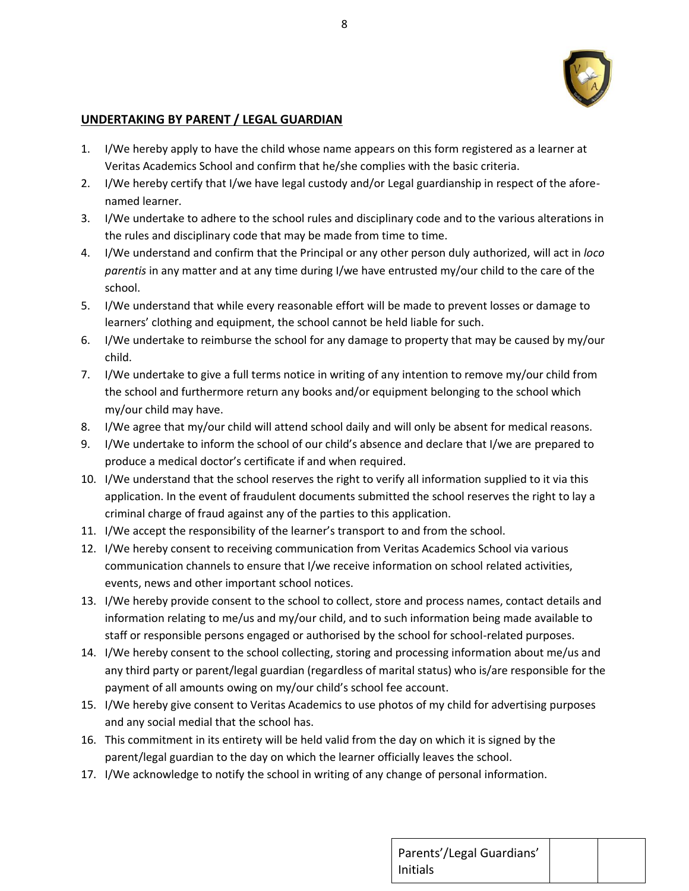

#### **UNDERTAKING BY PARENT / LEGAL GUARDIAN**

- 1. I/We hereby apply to have the child whose name appears on this form registered as a learner at Veritas Academics School and confirm that he/she complies with the basic criteria.
- 2. I/We hereby certify that I/we have legal custody and/or Legal guardianship in respect of the aforenamed learner.
- 3. I/We undertake to adhere to the school rules and disciplinary code and to the various alterations in the rules and disciplinary code that may be made from time to time.
- 4. I/We understand and confirm that the Principal or any other person duly authorized, will act in *loco parentis* in any matter and at any time during I/we have entrusted my/our child to the care of the school.
- 5. I/We understand that while every reasonable effort will be made to prevent losses or damage to learners' clothing and equipment, the school cannot be held liable for such.
- 6. I/We undertake to reimburse the school for any damage to property that may be caused by my/our child.
- 7. I/We undertake to give a full terms notice in writing of any intention to remove my/our child from the school and furthermore return any books and/or equipment belonging to the school which my/our child may have.
- 8. I/We agree that my/our child will attend school daily and will only be absent for medical reasons.
- 9. I/We undertake to inform the school of our child's absence and declare that I/we are prepared to produce a medical doctor's certificate if and when required.
- 10. I/We understand that the school reserves the right to verify all information supplied to it via this application. In the event of fraudulent documents submitted the school reserves the right to lay a criminal charge of fraud against any of the parties to this application.
- 11. I/We accept the responsibility of the learner's transport to and from the school.
- 12. I/We hereby consent to receiving communication from Veritas Academics School via various communication channels to ensure that I/we receive information on school related activities, events, news and other important school notices.
- 13. I/We hereby provide consent to the school to collect, store and process names, contact details and information relating to me/us and my/our child, and to such information being made available to staff or responsible persons engaged or authorised by the school for school-related purposes.
- 14. I/We hereby consent to the school collecting, storing and processing information about me/us and any third party or parent/legal guardian (regardless of marital status) who is/are responsible for the payment of all amounts owing on my/our child's school fee account.
- 15. I/We hereby give consent to Veritas Academics to use photos of my child for advertising purposes and any social medial that the school has.
- 16. This commitment in its entirety will be held valid from the day on which it is signed by the parent/legal guardian to the day on which the learner officially leaves the school.
- 17. I/We acknowledge to notify the school in writing of any change of personal information.

| Parents'/Legal Guardians' |  |
|---------------------------|--|
| Initials                  |  |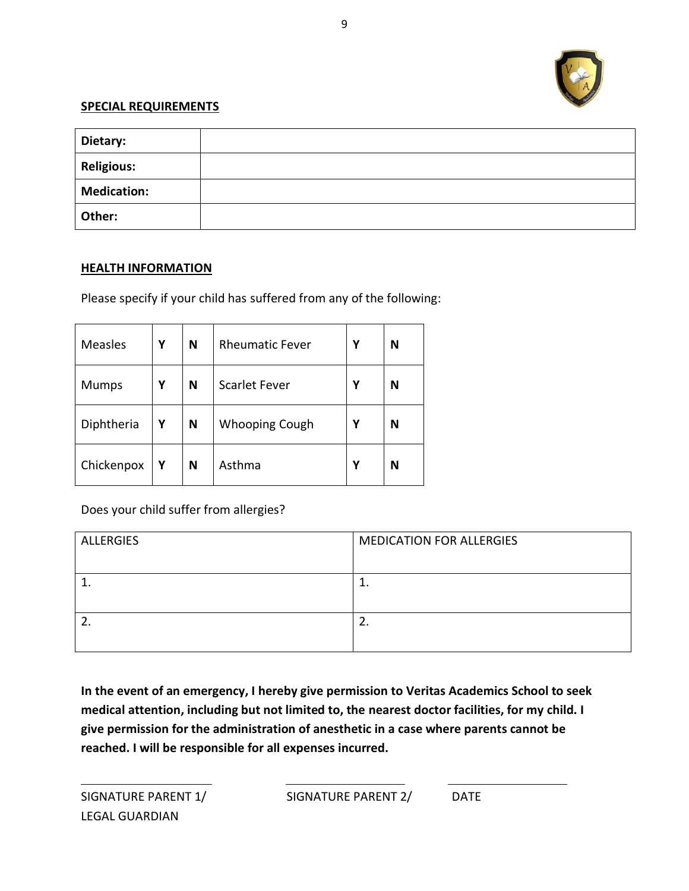

#### **SPECIAL REQUIREMENTS**

| Dietary:           |  |
|--------------------|--|
| <b>Religious:</b>  |  |
| <b>Medication:</b> |  |
| Other:             |  |

#### **HEALTH INFORMATION**

Please specify if your child has suffered from any of the following:

| <b>Measles</b> | Υ | N | <b>Rheumatic Fever</b> | Υ | N |
|----------------|---|---|------------------------|---|---|
| <b>Mumps</b>   | Υ | N | <b>Scarlet Fever</b>   | Υ | N |
| Diphtheria     | Υ | N | <b>Whooping Cough</b>  | Υ | N |
| Chickenpox     | Υ | N | Asthma                 | Υ | N |

Does your child suffer from allergies?

| <b>ALLERGIES</b> | <b>MEDICATION FOR ALLERGIES</b> |
|------------------|---------------------------------|
|                  |                                 |
|                  |                                 |
|                  |                                 |
|                  | <u>.</u>                        |
|                  |                                 |

**In the event of an emergency, I hereby give permission to Veritas Academics School to seek medical attention, including but not limited to, the nearest doctor facilities, for my child. I give permission for the administration of anesthetic in a case where parents cannot be reached. I will be responsible for all expenses incurred.**

LEGAL GUARDIAN

 $\overline{a}$ 

SIGNATURE PARENT 1/ SIGNATURE PARENT 2/ DATE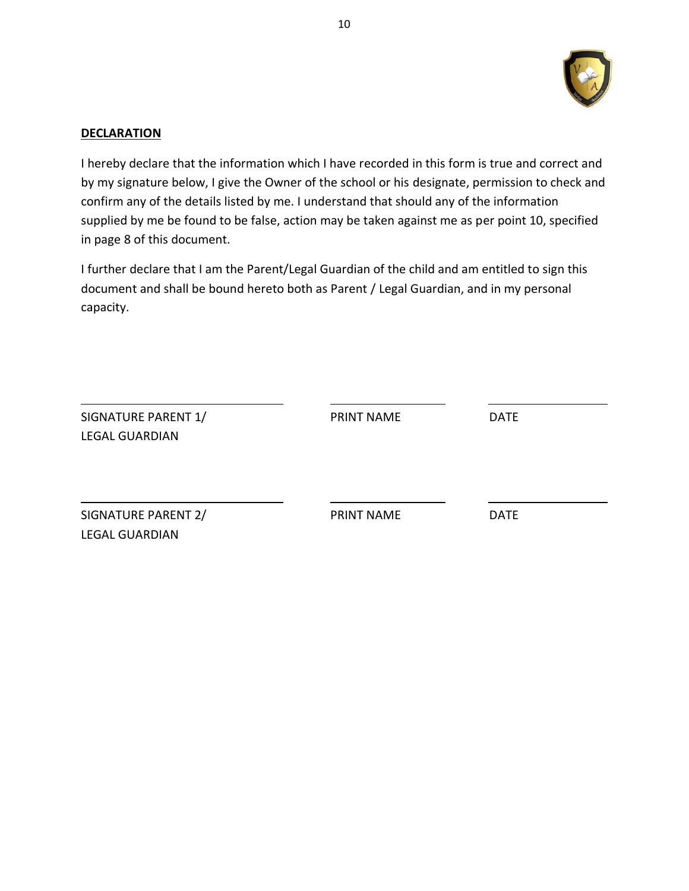

#### **DECLARATION**

I hereby declare that the information which I have recorded in this form is true and correct and by my signature below, I give the Owner of the school or his designate, permission to check and confirm any of the details listed by me. I understand that should any of the information supplied by me be found to be false, action may be taken against me as per point 10, specified in page 8 of this document.

I further declare that I am the Parent/Legal Guardian of the child and am entitled to sign this document and shall be bound hereto both as Parent / Legal Guardian, and in my personal capacity.

| SIGNATURE PARENT 1/<br><b>LEGAL GUARDIAN</b> | <b>PRINT NAME</b> | <b>DATE</b> |  |
|----------------------------------------------|-------------------|-------------|--|
| SIGNATURE PARENT 2/<br><b>LEGAL GUARDIAN</b> | <b>PRINT NAME</b> | <b>DATE</b> |  |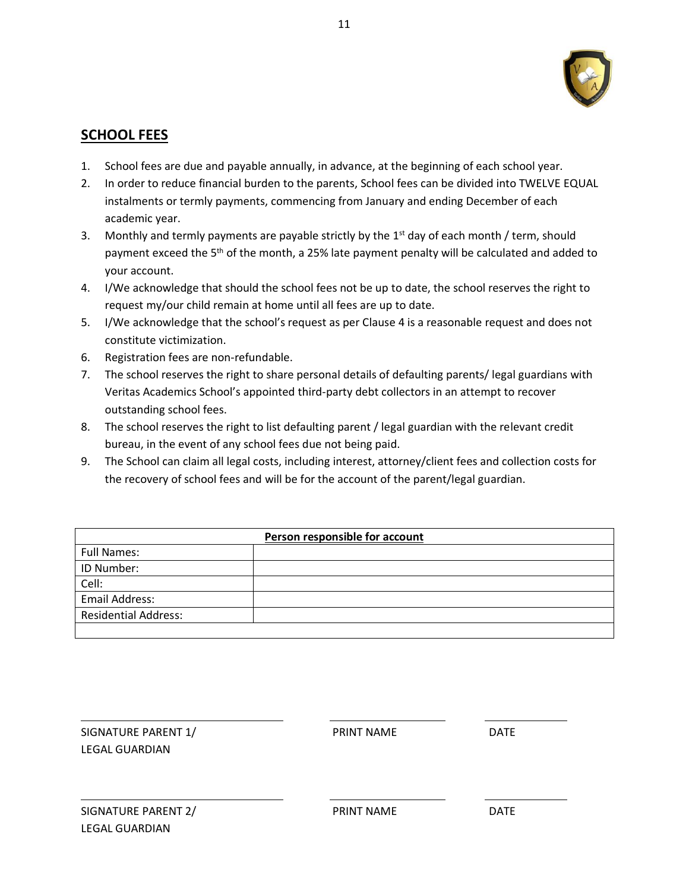

## **SCHOOL FEES**

- 1. School fees are due and payable annually, in advance, at the beginning of each school year.
- 2. In order to reduce financial burden to the parents, School fees can be divided into TWELVE EQUAL instalments or termly payments, commencing from January and ending December of each academic year.
- 3. Monthly and termly payments are payable strictly by the  $1<sup>st</sup>$  day of each month / term, should payment exceed the 5<sup>th</sup> of the month, a 25% late payment penalty will be calculated and added to your account.
- 4. I/We acknowledge that should the school fees not be up to date, the school reserves the right to request my/our child remain at home until all fees are up to date.
- 5. I/We acknowledge that the school's request as per Clause 4 is a reasonable request and does not constitute victimization.
- 6. Registration fees are non-refundable.
- 7. The school reserves the right to share personal details of defaulting parents/ legal guardians with Veritas Academics School's appointed third-party debt collectors in an attempt to recover outstanding school fees.
- 8. The school reserves the right to list defaulting parent / legal guardian with the relevant credit bureau, in the event of any school fees due not being paid.
- 9. The School can claim all legal costs, including interest, attorney/client fees and collection costs for the recovery of school fees and will be for the account of the parent/legal guardian.

| Person responsible for account |  |  |
|--------------------------------|--|--|
| <b>Full Names:</b>             |  |  |
| ID Number:                     |  |  |
| Cell:                          |  |  |
| <b>Email Address:</b>          |  |  |
| <b>Residential Address:</b>    |  |  |
|                                |  |  |

| SIGNATURE PARENT 1/   | <b>PRINT NAME</b> | <b>DATE</b> |
|-----------------------|-------------------|-------------|
| LEGAL GUARDIAN        |                   |             |
|                       |                   |             |
|                       |                   |             |
| SIGNATURE PARENT 2/   | <b>PRINT NAME</b> | <b>DATE</b> |
| <b>LEGAL GUARDIAN</b> |                   |             |
|                       |                   |             |